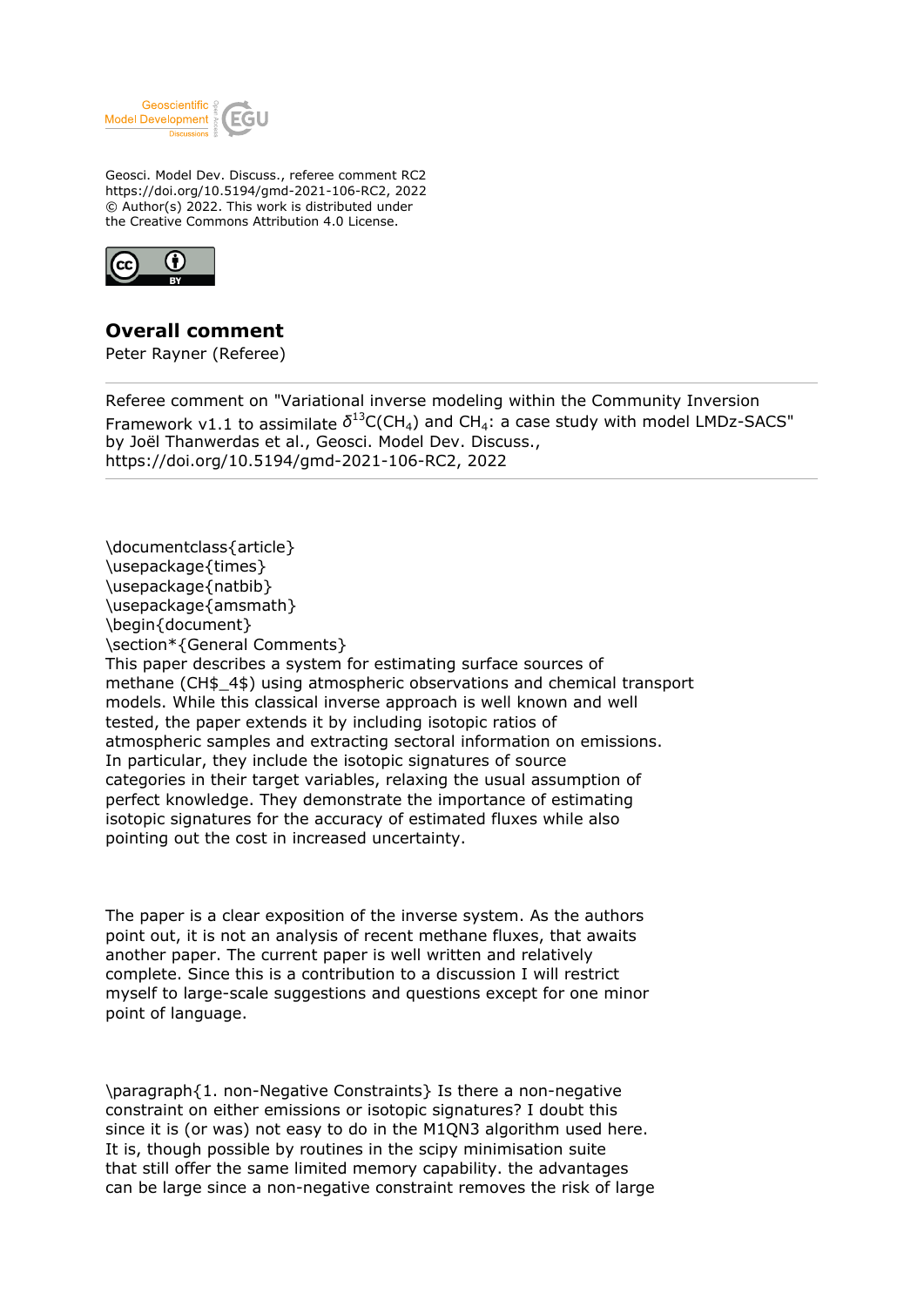

Geosci. Model Dev. Discuss., referee comment RC2 https://doi.org/10.5194/gmd-2021-106-RC2, 2022 © Author(s) 2022. This work is distributed under the Creative Commons Attribution 4.0 License.



## **Overall comment**

Peter Rayner (Referee)

Referee comment on "Variational inverse modeling within the Community Inversion Framework v1.1 to assimilate  $\delta^{13}$ C(CH<sub>4</sub>) and CH<sub>4</sub>: a case study with model LMDz-SACS" by Joël Thanwerdas et al., Geosci. Model Dev. Discuss., https://doi.org/10.5194/gmd-2021-106-RC2, 2022

\documentclass{article} \usepackage{times} \usepackage{natbib} \usepackage{amsmath} \begin{document} \section\*{General Comments} This paper describes a system for estimating surface sources of methane (CH\$\_4\$) using atmospheric observations and chemical transport models. While this classical inverse approach is well known and well tested, the paper extends it by including isotopic ratios of atmospheric samples and extracting sectoral information on emissions. In particular, they include the isotopic signatures of source categories in their target variables, relaxing the usual assumption of perfect knowledge. They demonstrate the importance of estimating isotopic signatures for the accuracy of estimated fluxes while also pointing out the cost in increased uncertainty.

The paper is a clear exposition of the inverse system. As the authors point out, it is not an analysis of recent methane fluxes, that awaits another paper. The current paper is well written and relatively complete. Since this is a contribution to a discussion I will restrict myself to large-scale suggestions and questions except for one minor point of language.

\paragraph{1. non-Negative Constraints} Is there a non-negative constraint on either emissions or isotopic signatures? I doubt this since it is (or was) not easy to do in the M1QN3 algorithm used here. It is, though possible by routines in the scipy minimisation suite that still offer the same limited memory capability. the advantages can be large since a non-negative constraint removes the risk of large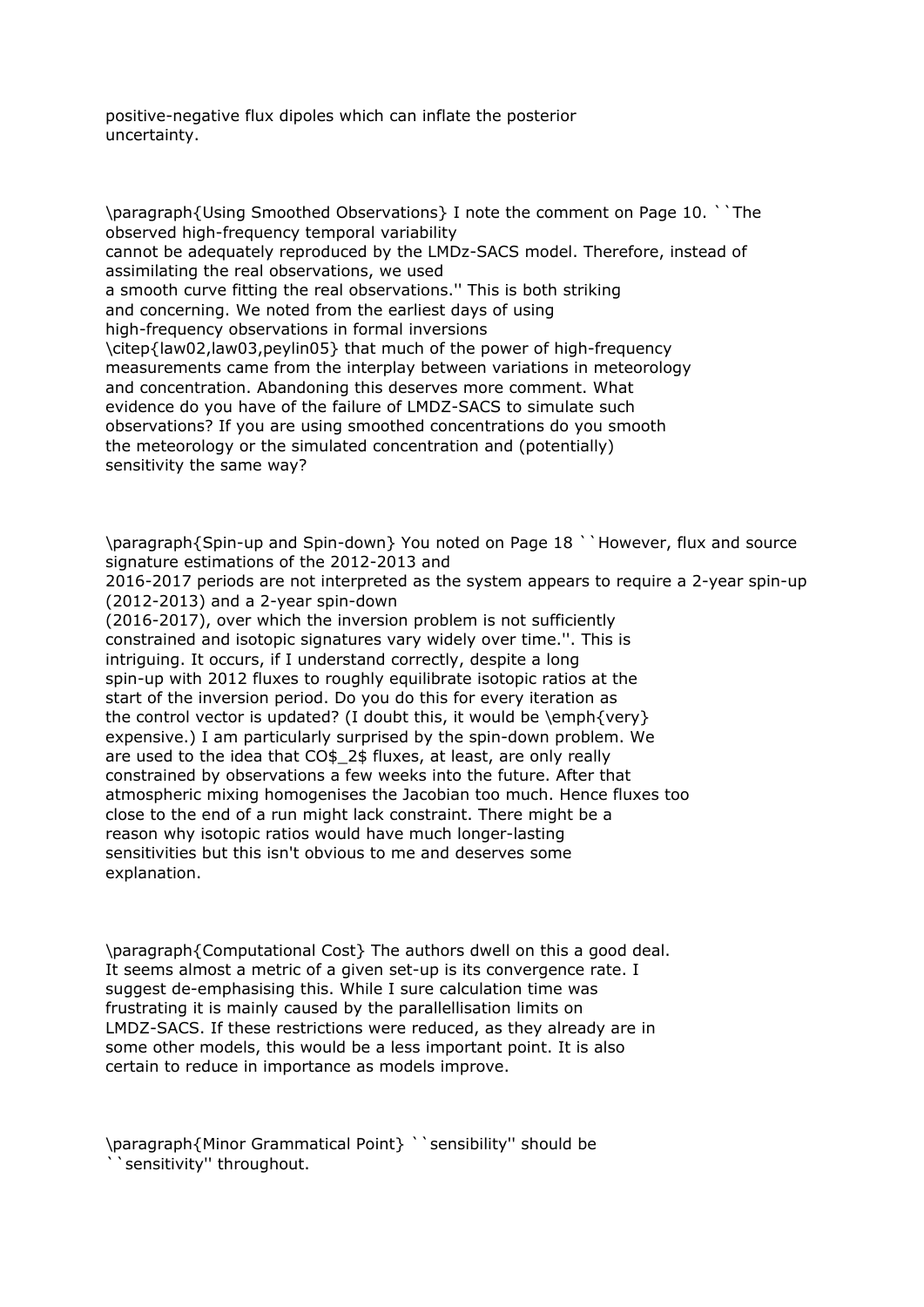positive-negative flux dipoles which can inflate the posterior uncertainty.

\paragraph{Using Smoothed Observations} I note the comment on Page 10. ``The observed high-frequency temporal variability cannot be adequately reproduced by the LMDz-SACS model. Therefore, instead of assimilating the real observations, we used a smooth curve fitting the real observations.'' This is both striking and concerning. We noted from the earliest days of using high-frequency observations in formal inversions \citep{law02,law03,peylin05} that much of the power of high-frequency measurements came from the interplay between variations in meteorology and concentration. Abandoning this deserves more comment. What evidence do you have of the failure of LMDZ-SACS to simulate such observations? If you are using smoothed concentrations do you smooth the meteorology or the simulated concentration and (potentially) sensitivity the same way?

\paragraph{Spin-up and Spin-down} You noted on Page 18 ``However, flux and source signature estimations of the 2012-2013 and

2016-2017 periods are not interpreted as the system appears to require a 2-year spin-up (2012-2013) and a 2-year spin-down

(2016-2017), over which the inversion problem is not sufficiently constrained and isotopic signatures vary widely over time.''. This is intriguing. It occurs, if I understand correctly, despite a long spin-up with 2012 fluxes to roughly equilibrate isotopic ratios at the start of the inversion period. Do you do this for every iteration as the control vector is updated? (I doubt this, it would be  $\emptyset$ ) expensive.) I am particularly surprised by the spin-down problem. We are used to the idea that CO\$\_2\$ fluxes, at least, are only really constrained by observations a few weeks into the future. After that atmospheric mixing homogenises the Jacobian too much. Hence fluxes too close to the end of a run might lack constraint. There might be a reason why isotopic ratios would have much longer-lasting sensitivities but this isn't obvious to me and deserves some explanation.

\paragraph{Computational Cost} The authors dwell on this a good deal. It seems almost a metric of a given set-up is its convergence rate. I suggest de-emphasising this. While I sure calculation time was frustrating it is mainly caused by the parallellisation limits on LMDZ-SACS. If these restrictions were reduced, as they already are in some other models, this would be a less important point. It is also certain to reduce in importance as models improve.

\paragraph{Minor Grammatical Point} ``sensibility'' should be ``sensitivity'' throughout.